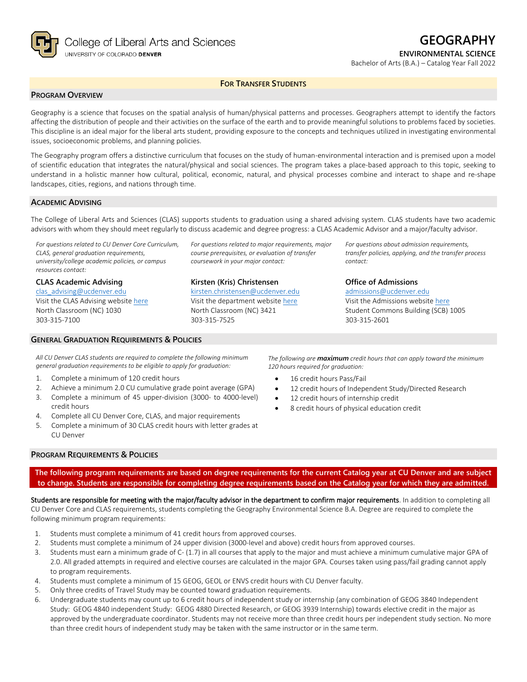

**ENVIRONMENTAL SCIENCE**

Bachelor of Arts (B.A.) – Catalog Year Fall 2022

#### **FOR TRANSFER STUDENTS**

## **PROGRAM OVERVIEW**

Geography is a science that focuses on the spatial analysis of human/physical patterns and processes. Geographers attempt to identify the factors affecting the distribution of people and their activities on the surface of the earth and to provide meaningful solutions to problems faced by societies. This discipline is an ideal major for the liberal arts student, providing exposure to the concepts and techniques utilized in investigating environmental issues, socioeconomic problems, and planning policies.

The Geography program offers a distinctive curriculum that focuses on the study of human-environmental interaction and is premised upon a model of scientific education that integrates the natural/physical and social sciences. The program takes a place-based approach to this topic, seeking to understand in a holistic manner how cultural, political, economic, natural, and physical processes combine and interact to shape and re-shape landscapes, cities, regions, and nations through time.

### **ACADEMIC ADVISING**

303-315-7100

The College of Liberal Arts and Sciences (CLAS) supports students to graduation using a shared advising system. CLAS students have two academic advisors with whom they should meet regularly to discuss academic and degree progress: a CLAS Academic Advisor and a major/faculty advisor.

*For questions related to CU Denver Core Curriculum, CLAS, general graduation requirements, university/college academic policies, or campus resources contact:*

**CLAS Academic Advising** [clas\\_advising@ucdenver.edu](mailto:clas_advising@ucdenver.edu) Visit the CLAS Advising websit[e here](https://clas.ucdenver.edu/advising/) North Classroom (NC) 1030

#### **GENERAL GRADUATION REQUIREMENTS & POLICIES**

*For questions related to major requirements, major course prerequisites, or evaluation of transfer coursework in your major contact:*

## **Kirsten (Kris) Christensen**

[kirsten.christensen@ucdenver.edu](mailto:kirsten.christensen@ucdenver.edu) Visit the department website [here](https://clas.ucdenver.edu/ges/) North Classroom (NC) 3421 303-315-7525

*For questions about admission requirements, transfer policies, applying, and the transfer process contact:*

#### **Office of Admissions**

[admissions@ucdenver.edu](mailto:admissions@ucdenver.edu) Visit the Admissions website [here](http://www.ucdenver.edu/admissions/Pages/index.aspx) Student Commons Building (SCB) 1005 303-315-2601

*All CU Denver CLAS students are required to complete the following minimum general graduation requirements to be eligible to apply for graduation:*

- 1. Complete a minimum of 120 credit hours
- 2. Achieve a minimum 2.0 CU cumulative grade point average (GPA)
- 3. Complete a minimum of 45 upper-division (3000- to 4000-level) credit hours
- 4. Complete all CU Denver Core, CLAS, and major requirements
- 5. Complete a minimum of 30 CLAS credit hours with letter grades at CU Denver

*The following are maximum credit hours that can apply toward the minimum 120 hours required for graduation:*

- 16 credit hours Pass/Fail
- 12 credit hours of Independent Study/Directed Research
- 12 credit hours of internship credit
- 8 credit hours of physical education credit

### **PROGRAM REQUIREMENTS & POLICIES**

**The following program requirements are based on degree requirements for the current Catalog year at CU Denver and are subject to change. Students are responsible for completing degree requirements based on the Catalog year for which they are admitted.**

Students are responsible for meeting with the major/faculty advisor in the department to confirm major requirements. In addition to completing all CU Denver Core and CLAS requirements, students completing the Geography Environmental Science B.A. Degree are required to complete the following minimum program requirements:

- 1. Students must complete a minimum of 41 credit hours from approved courses.
- 2. Students must complete a minimum of 24 upper division (3000-level and above) credit hours from approved courses.
- 3. Students must earn a minimum grade of C- (1.7) in all courses that apply to the major and must achieve a minimum cumulative major GPA of 2.0. All graded attempts in required and elective courses are calculated in the major GPA. Courses taken using pass/fail grading cannot apply to program requirements.
- 4. Students must complete a minimum of 15 GEOG, GEOL or ENVS credit hours with CU Denver faculty.
- 5. Only three credits of Travel Study may be counted toward graduation requirements.
- 6. Undergraduate students may count up to 6 credit hours of independent study or internship (any combination of GEOG 3840 Independent Study: GEOG 4840 independent Study: GEOG 4880 Directed Research, or GEOG 3939 Internship) towards elective credit in the major as approved by the undergraduate coordinator. Students may not receive more than three credit hours per independent study section. No more than three credit hours of independent study may be taken with the same instructor or in the same term.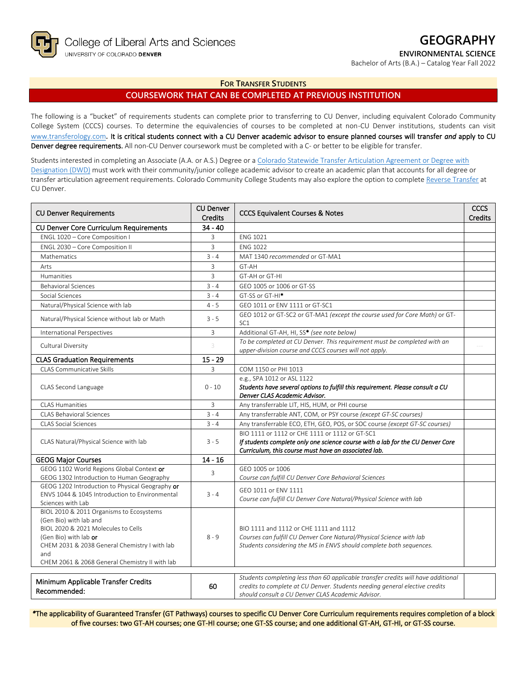

**ENVIRONMENTAL SCIENCE**

Bachelor of Arts (B.A.) – Catalog Year Fall 2022

### **FOR TRANSFER STUDENTS**

# **COURSEWORK THAT CAN BE COMPLETED AT PREVIOUS INSTITUTION**

The following is a "bucket" of requirements students can complete prior to transferring to CU Denver, including equivalent Colorado Community College System (CCCS) courses. To determine the equivalencies of courses to be completed at non-CU Denver institutions, students can visit [www.transferology.com](http://www.transferology.com/)**.** It is critical students connect with a CU Denver academic advisor to ensure planned courses will transfer *and* apply to CU Denver degree requirements. All non-CU Denver coursework must be completed with a C- or better to be eligible for transfer.

Students interested in completing an Associate (A.A. or A.S.) Degree or [a Colorado Statewide Transfer Articulation Agreement or Degree with](https://highered.colorado.gov/transfer-degrees)  [Designation \(DWD\)](https://highered.colorado.gov/transfer-degrees) must work with their community/junior college academic advisor to create an academic plan that accounts for all degree or transfer articulation agreement requirements. Colorado Community College Students may also explore the option to complet[e Reverse Transfer](https://highered.colorado.gov/students/attending-college/colorado-reverse-transfer) at CU Denver.

| <b>CU Denver Requirements</b>                                                                                                                                                                                                                | <b>CU Denver</b><br>Credits | <b>CCCS Equivalent Courses &amp; Notes</b>                                                                                                                                                                            | <b>CCCS</b><br>Credits |
|----------------------------------------------------------------------------------------------------------------------------------------------------------------------------------------------------------------------------------------------|-----------------------------|-----------------------------------------------------------------------------------------------------------------------------------------------------------------------------------------------------------------------|------------------------|
| <b>CU Denver Core Curriculum Requirements</b>                                                                                                                                                                                                | $34 - 40$                   |                                                                                                                                                                                                                       |                        |
| ENGL 1020 - Core Composition I                                                                                                                                                                                                               | 3                           | <b>ENG 1021</b>                                                                                                                                                                                                       |                        |
| ENGL 2030 - Core Composition II                                                                                                                                                                                                              | 3                           | <b>ENG 1022</b>                                                                                                                                                                                                       |                        |
| Mathematics                                                                                                                                                                                                                                  | $3 - 4$                     | MAT 1340 recommended or GT-MA1                                                                                                                                                                                        |                        |
| Arts                                                                                                                                                                                                                                         | $\overline{3}$              | GT-AH                                                                                                                                                                                                                 |                        |
| Humanities                                                                                                                                                                                                                                   | 3                           | GT-AH or GT-HI                                                                                                                                                                                                        |                        |
| <b>Behavioral Sciences</b>                                                                                                                                                                                                                   | $3 - 4$                     | GEO 1005 or 1006 or GT-SS                                                                                                                                                                                             |                        |
| Social Sciences                                                                                                                                                                                                                              | $3 - 4$                     | GT-SS or GT-HI <sup>*</sup>                                                                                                                                                                                           |                        |
| Natural/Physical Science with lab                                                                                                                                                                                                            | $4 - 5$                     | GEO 1011 or ENV 1111 or GT-SC1                                                                                                                                                                                        |                        |
| Natural/Physical Science without lab or Math                                                                                                                                                                                                 | $3 - 5$                     | GEO 1012 or GT-SC2 or GT-MA1 (except the course used for Core Math) or GT-<br>SC <sub>1</sub>                                                                                                                         |                        |
| International Perspectives                                                                                                                                                                                                                   | 3                           | Additional GT-AH, HI, SS* (see note below)                                                                                                                                                                            |                        |
| Cultural Diversity                                                                                                                                                                                                                           | 3                           | To be completed at CU Denver. This requirement must be completed with an<br>upper-division course and CCCS courses will not apply.                                                                                    |                        |
| <b>CLAS Graduation Requirements</b>                                                                                                                                                                                                          | $15 - 29$                   |                                                                                                                                                                                                                       |                        |
| <b>CLAS Communicative Skills</b>                                                                                                                                                                                                             | 3                           | COM 1150 or PHI 1013                                                                                                                                                                                                  |                        |
|                                                                                                                                                                                                                                              |                             | e.g., SPA 1012 or ASL 1122                                                                                                                                                                                            |                        |
| CLAS Second Language                                                                                                                                                                                                                         | $0 - 10$                    | Students have several options to fulfill this requirement. Please consult a CU                                                                                                                                        |                        |
|                                                                                                                                                                                                                                              |                             | Denver CLAS Academic Advisor.                                                                                                                                                                                         |                        |
| CI AS Humanities                                                                                                                                                                                                                             | $\overline{3}$              | Any transferrable LIT, HIS, HUM, or PHI course                                                                                                                                                                        |                        |
| <b>CLAS Behavioral Sciences</b>                                                                                                                                                                                                              | $3 - 4$                     | Any transferrable ANT, COM, or PSY course (except GT-SC courses)                                                                                                                                                      |                        |
| <b>CLAS Social Sciences</b>                                                                                                                                                                                                                  | $3 - 4$                     | Any transferrable ECO, ETH, GEO, POS, or SOC course (except GT-SC courses)                                                                                                                                            |                        |
| CLAS Natural/Physical Science with lab                                                                                                                                                                                                       | $3 - 5$                     | BIO 1111 or 1112 or CHE 1111 or 1112 or GT-SC1<br>If students complete only one science course with a lab for the CU Denver Core                                                                                      |                        |
|                                                                                                                                                                                                                                              |                             | Curriculum, this course must have an associated lab.                                                                                                                                                                  |                        |
| <b>GEOG Major Courses</b>                                                                                                                                                                                                                    | $14 - 16$                   |                                                                                                                                                                                                                       |                        |
| GEOG 1102 World Regions Global Context or                                                                                                                                                                                                    | 3                           | GEO 1005 or 1006                                                                                                                                                                                                      |                        |
| GEOG 1302 Introduction to Human Geography<br>GEOG 1202 Introduction to Physical Geography or                                                                                                                                                 |                             | Course can fulfill CU Denver Core Behavioral Sciences                                                                                                                                                                 |                        |
| ENVS 1044 & 1045 Introduction to Environmental                                                                                                                                                                                               | $3 - 4$                     | GEO 1011 or ENV 1111                                                                                                                                                                                                  |                        |
| Sciences with Lab                                                                                                                                                                                                                            |                             | Course can fulfill CU Denver Core Natural/Physical Science with lab                                                                                                                                                   |                        |
| BIOL 2010 & 2011 Organisms to Ecosystems<br>(Gen Bio) with lab and<br>BIOL 2020 & 2021 Molecules to Cells<br>(Gen Bio) with lab or<br>CHEM 2031 & 2038 General Chemistry I with lab<br>and<br>CHEM 2061 & 2068 General Chemistry II with lab | $8 - 9$                     | BIO 1111 and 1112 or CHE 1111 and 1112<br>Courses can fulfill CU Denver Core Natural/Physical Science with lab<br>Students considering the MS in ENVS should complete both sequences.                                 |                        |
| Minimum Applicable Transfer Credits<br>Recommended:                                                                                                                                                                                          | 60                          | Students completing less than 60 applicable transfer credits will have additional<br>credits to complete at CU Denver. Students needing general elective credits<br>should consult a CU Denver CLAS Academic Advisor. |                        |

*\**The applicability of Guaranteed Transfer (GT Pathways) courses to specific CU Denver Core Curriculum requirements requires completion of a block of five courses: two GT-AH courses; one GT-HI course; one GT-SS course; and one additional GT-AH, GT-HI, or GT-SS course.